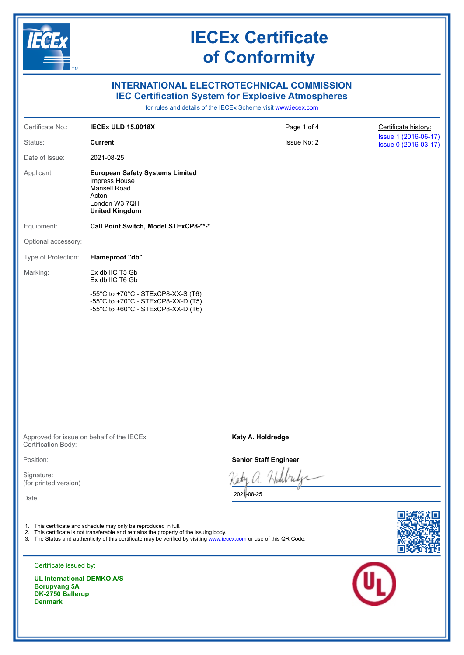

Approved for issue on behalf of the IECEx Certification Body:

Position:

Signature: (for printed version)

Date:

- 1. This certificate and schedule may only be reproduced in full.
- 2. This certificate is not transferable and remains the property of the issuing body.
- 3. The Status and authenticity of this certificate may be verified by visiting [www.iecex.com](https://www.iecex.com) or use of this QR Code.





Certificate issued by:

**UL International DEMKO A/S Borupvang 5A DK-2750 Ballerup Denmark**

#### **Katy A. Holdredge**

**Senior Staff Engineer**

И

2021-08-25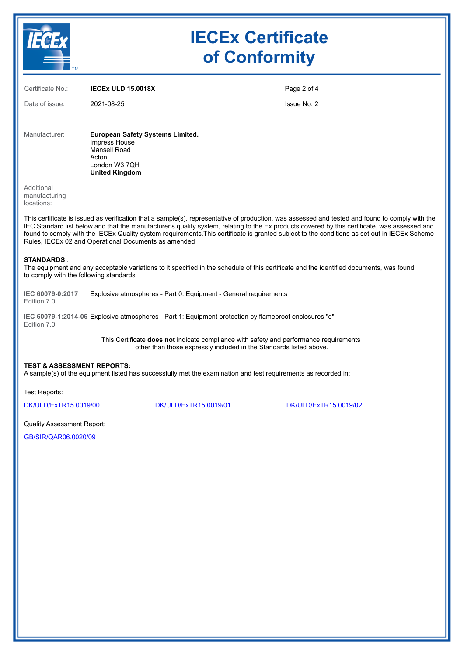

# **IECEx Certificate of Conformity**

| Certificate No.:                                                                                                                                | <b>IECEX ULD 15,0018X</b>                                                                                                   | Page 2 of 4 |
|-------------------------------------------------------------------------------------------------------------------------------------------------|-----------------------------------------------------------------------------------------------------------------------------|-------------|
| Date of issue:                                                                                                                                  | 2021-08-25                                                                                                                  | Issue No: 2 |
|                                                                                                                                                 |                                                                                                                             |             |
| Manufacturer:                                                                                                                                   | <b>European Safety Systems Limited.</b><br>Impress House<br>Mansell Road<br>Acton<br>London W3 7QH<br><b>United Kingdom</b> |             |
| Additional<br>manufacturing<br>locations:                                                                                                       |                                                                                                                             |             |
| This certificate is issued as verification that a sample(s), representative of production, was assessed and tested and found to comply with the |                                                                                                                             |             |

IEC Standard list below and that the manufacturer's quality system, relating to the Ex products covered by this certificate, was assessed and found to comply with the IECEx Quality system requirements.This certificate is granted subject to the conditions as set out in IECEx Scheme Rules, IECEx 02 and Operational Documents as amended

#### **STANDARDS** :

The equipment and any acceptable variations to it specified in the schedule of this certificate and the identified documents, was found to comply with the following standards

**IEC 60079-0:2017** Edition:7.0 Explosive atmospheres - Part 0: Equipment - General requirements

**IEC 60079-1:2014-06** Explosive atmospheres - Part 1: Equipment protection by flameproof enclosures "d" Edition:7.0

> This Certificate **does not** indicate compliance with safety and performance requirements other than those expressly included in the Standards listed above.

#### **TEST & ASSESSMENT REPORTS:**

A sample(s) of the equipment listed has successfully met the examination and test requirements as recorded in:

Test Reports:

[DK/ULD/ExTR15.0019/00](https://www.iecex-certs.com/deliverables/REPORT/13579/view) [DK/ULD/ExTR15.0019/01](https://www.iecex-certs.com/deliverables/REPORT/13580/view) [DK/ULD/ExTR15.0019/02](https://www.iecex-certs.com/deliverables/REPORT/75209/view)

Quality Assessment Report:

[GB/SIR/QAR06.0020/09](https://www.iecex-certs.com/deliverables/REPORT/70577/view)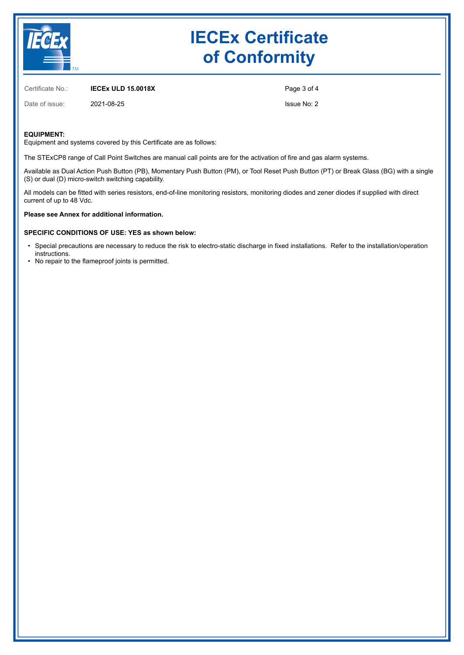

# **IECEx Certificate of Conformity**

Certificate No.: **IECEx ULD 15.0018X**

Date of issue: 2021-08-25

Page 3 of 4 Issue No: 2

#### **EQUIPMENT:**

Equipment and systems covered by this Certificate are as follows:

The STExCP8 range of Call Point Switches are manual call points are for the activation of fire and gas alarm systems.

Available as Dual Action Push Button (PB), Momentary Push Button (PM), or Tool Reset Push Button (PT) or Break Glass (BG) with a single (S) or dual (D) micro-switch switching capability.

All models can be fitted with series resistors, end-of-line monitoring resistors, monitoring diodes and zener diodes if supplied with direct current of up to 48 Vdc.

**Please see Annex for additional information.**

#### **SPECIFIC CONDITIONS OF USE: YES as shown below:**

- Special precautions are necessary to reduce the risk to electro-static discharge in fixed installations. Refer to the installation/operation instructions.
- No repair to the flameproof joints is permitted.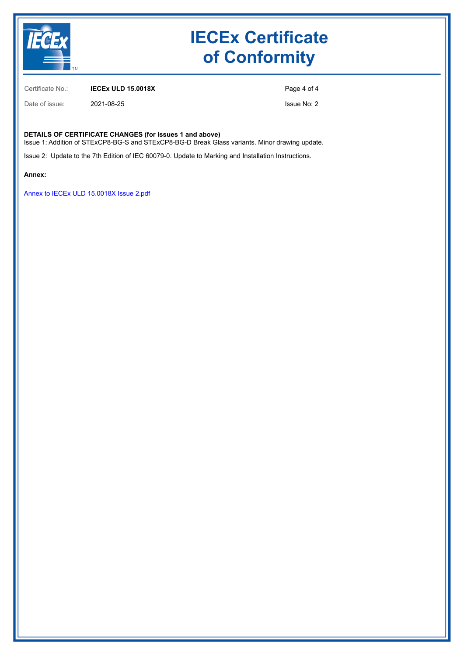

# **IECEx Certificate of Conformity**

Certificate No.: **IECEx ULD 15.0018X**

Date of issue: 2021-08-25

Page 4 of 4

Issue No: 2

#### **DETAILS OF CERTIFICATE CHANGES (for issues 1 and above)**

Issue 1: Addition of STExCP8-BG-S and STExCP8-BG-D Break Glass variants. Minor drawing update.

Issue 2: Update to the 7th Edition of IEC 60079-0. Update to Marking and Installation Instructions.

**Annex:**

[Annex to IECEx ULD 15.0018X Issue 2.pdf](https://www.iecex-certs.com/deliverables/CERT/55000/view)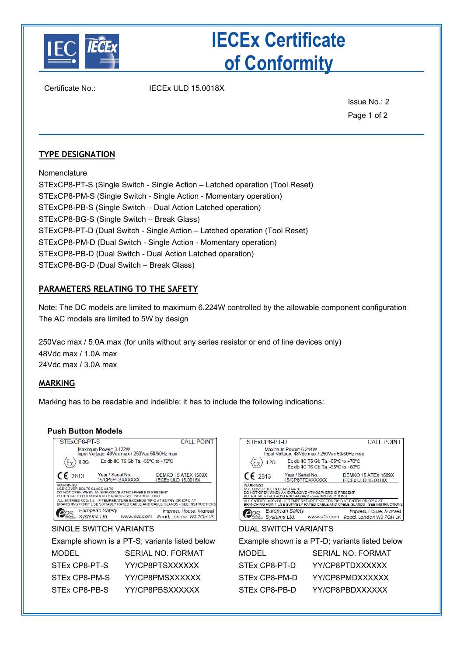

# **IECEx Certificate of Conformity**

Certificate No.: IECEx ULD 15.0018X

Issue No.: 2 Page 1 of 2

## **TYPE DESIGNATION**

Nomenclature STExCP8-PT-S (Single Switch - Single Action – Latched operation (Tool Reset) STExCP8-PM-S (Single Switch - Single Action - Momentary operation) STExCP8-PB-S (Single Switch – Dual Action Latched operation) STExCP8-BG-S (Single Switch – Break Glass) STExCP8-PT-D (Dual Switch - Single Action – Latched operation (Tool Reset) STExCP8-PM-D (Dual Switch - Single Action - Momentary operation) STExCP8-PB-D (Dual Switch - Dual Action Latched operation) STExCP8-BG-D (Dual Switch – Break Glass)

## **PARAMETERS RELATING TO THE SAFETY**

Note: The DC models are limited to maximum 6.224W controlled by the allowable component configuration The AC models are limited to 5W by design

250Vac max / 5.0A max (for units without any series resistor or end of line devices only) 48Vdc max / 1.0A max 24Vdc max / 3.0A max

## **MARKING**

Marking has to be readable and indelible; it has to include the following indications:

### **Push Button Models**